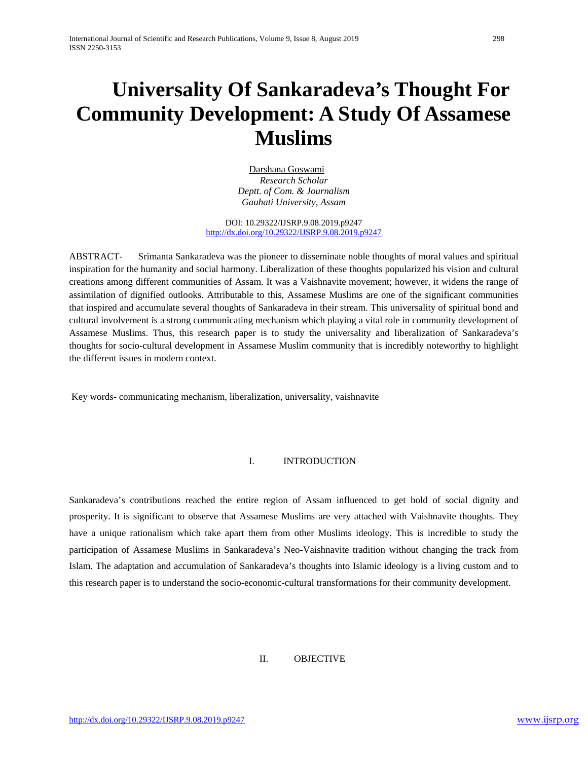# **Universality Of Sankaradeva's Thought For Community Development: A Study Of Assamese Muslims**

Darshana Goswami *Research Scholar Deptt. of Com. & Journalism Gauhati University, Assam*

DOI: 10.29322/IJSRP.9.08.2019.p9247 <http://dx.doi.org/10.29322/IJSRP.9.08.2019.p9247>

ABSTRACT- Srimanta Sankaradeva was the pioneer to disseminate noble thoughts of moral values and spiritual inspiration for the humanity and social harmony. Liberalization of these thoughts popularized his vision and cultural creations among different communities of Assam. It was a Vaishnavite movement; however, it widens the range of assimilation of dignified outlooks. Attributable to this, Assamese Muslims are one of the significant communities that inspired and accumulate several thoughts of Sankaradeva in their stream. This universality of spiritual bond and cultural involvement is a strong communicating mechanism which playing a vital role in community development of Assamese Muslims. Thus, this research paper is to study the universality and liberalization of Sankaradeva's thoughts for socio-cultural development in Assamese Muslim community that is incredibly noteworthy to highlight the different issues in modern context.

Key words- communicating mechanism, liberalization, universality, vaishnavite

## I. INTRODUCTION

Sankaradeva's contributions reached the entire region of Assam influenced to get hold of social dignity and prosperity. It is significant to observe that Assamese Muslims are very attached with Vaishnavite thoughts. They have a unique rationalism which take apart them from other Muslims ideology. This is incredible to study the participation of Assamese Muslims in Sankaradeva's Neo-Vaishnavite tradition without changing the track from Islam. The adaptation and accumulation of Sankaradeva's thoughts into Islamic ideology is a living custom and to this research paper is to understand the socio-economic-cultural transformations for their community development.

## II. OBJECTIVE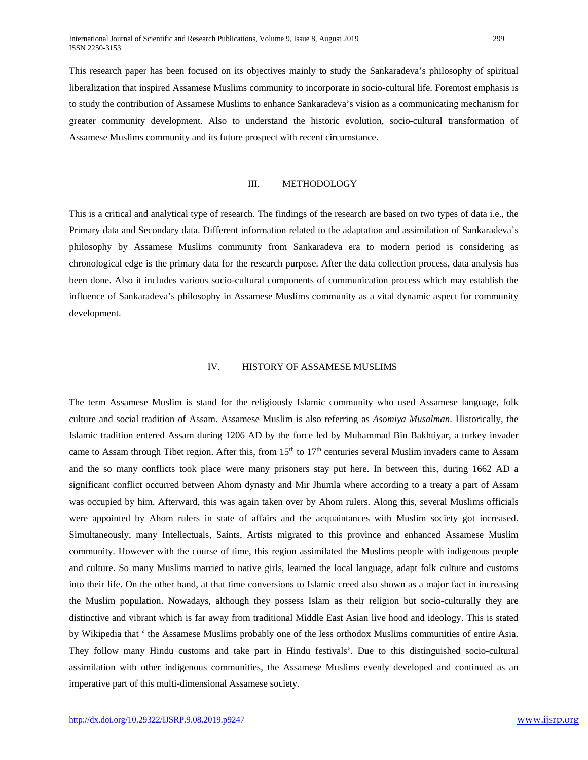This research paper has been focused on its objectives mainly to study the Sankaradeva's philosophy of spiritual liberalization that inspired Assamese Muslims community to incorporate in socio-cultural life. Foremost emphasis is to study the contribution of Assamese Muslims to enhance Sankaradeva's vision as a communicating mechanism for greater community development. Also to understand the historic evolution, socio-cultural transformation of Assamese Muslims community and its future prospect with recent circumstance.

### III. METHODOLOGY

This is a critical and analytical type of research. The findings of the research are based on two types of data i.e., the Primary data and Secondary data. Different information related to the adaptation and assimilation of Sankaradeva's philosophy by Assamese Muslims community from Sankaradeva era to modern period is considering as chronological edge is the primary data for the research purpose. After the data collection process, data analysis has been done. Also it includes various socio-cultural components of communication process which may establish the influence of Sankaradeva's philosophy in Assamese Muslims community as a vital dynamic aspect for community development.

#### IV. HISTORY OF ASSAMESE MUSLIMS

The term Assamese Muslim is stand for the religiously Islamic community who used Assamese language, folk culture and social tradition of Assam. Assamese Muslim is also referring as *Asomiya Musalman*. Historically, the Islamic tradition entered Assam during 1206 AD by the force led by Muhammad Bin Bakhtiyar, a turkey invader came to Assam through Tibet region. After this, from  $15<sup>th</sup>$  to  $17<sup>th</sup>$  centuries several Muslim invaders came to Assam and the so many conflicts took place were many prisoners stay put here. In between this, during 1662 AD a significant conflict occurred between Ahom dynasty and Mir Jhumla where according to a treaty a part of Assam was occupied by him. Afterward, this was again taken over by Ahom rulers. Along this, several Muslims officials were appointed by Ahom rulers in state of affairs and the acquaintances with Muslim society got increased. Simultaneously, many Intellectuals, Saints, Artists migrated to this province and enhanced Assamese Muslim community. However with the course of time, this region assimilated the Muslims people with indigenous people and culture. So many Muslims married to native girls, learned the local language, adapt folk culture and customs into their life. On the other hand, at that time conversions to Islamic creed also shown as a major fact in increasing the Muslim population. Nowadays, although they possess Islam as their religion but socio-culturally they are distinctive and vibrant which is far away from traditional Middle East Asian live hood and ideology. This is stated by Wikipedia that ' the Assamese Muslims probably one of the less orthodox Muslims communities of entire Asia. They follow many Hindu customs and take part in Hindu festivals'. Due to this distinguished socio-cultural assimilation with other indigenous communities, the Assamese Muslims evenly developed and continued as an imperative part of this multi-dimensional Assamese society.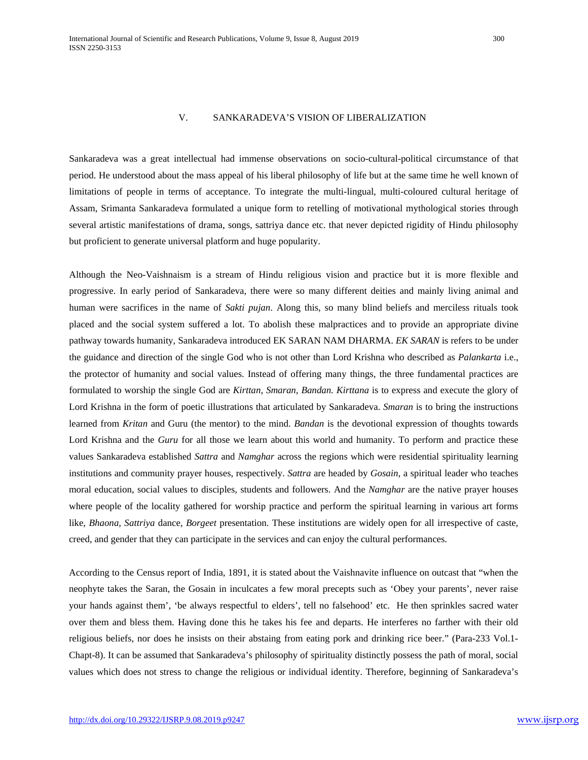## V. SANKARADEVA'S VISION OF LIBERALIZATION

Sankaradeva was a great intellectual had immense observations on socio-cultural-political circumstance of that period. He understood about the mass appeal of his liberal philosophy of life but at the same time he well known of limitations of people in terms of acceptance. To integrate the multi-lingual, multi-coloured cultural heritage of Assam, Srimanta Sankaradeva formulated a unique form to retelling of motivational mythological stories through several artistic manifestations of drama, songs, sattriya dance etc. that never depicted rigidity of Hindu philosophy but proficient to generate universal platform and huge popularity.

Although the Neo-Vaishnaism is a stream of Hindu religious vision and practice but it is more flexible and progressive. In early period of Sankaradeva, there were so many different deities and mainly living animal and human were sacrifices in the name of *Sakti pujan*. Along this, so many blind beliefs and merciless rituals took placed and the social system suffered a lot. To abolish these malpractices and to provide an appropriate divine pathway towards humanity, Sankaradeva introduced EK SARAN NAM DHARMA. *EK SARAN* is refers to be under the guidance and direction of the single God who is not other than Lord Krishna who described as *Palankarta* i.e., the protector of humanity and social values. Instead of offering many things, the three fundamental practices are formulated to worship the single God are *Kirttan, Smaran, Bandan. Kirttana* is to express and execute the glory of Lord Krishna in the form of poetic illustrations that articulated by Sankaradeva. *Smaran* is to bring the instructions learned from *Kritan* and Guru (the mentor) to the mind. *Bandan* is the devotional expression of thoughts towards Lord Krishna and the *Guru* for all those we learn about this world and humanity. To perform and practice these values Sankaradeva established *Sattra* and *Namghar* across the regions which were residential spirituality learning institutions and community prayer houses, respectively. *Sattra* are headed by *Gosain*, a spiritual leader who teaches moral education, social values to disciples, students and followers. And the *Namghar* are the native prayer houses where people of the locality gathered for worship practice and perform the spiritual learning in various art forms like, *Bhaona, Sattriya* dance, *Borgeet* presentation. These institutions are widely open for all irrespective of caste, creed, and gender that they can participate in the services and can enjoy the cultural performances.

According to the Census report of India, 1891, it is stated about the Vaishnavite influence on outcast that "when the neophyte takes the Saran, the Gosain in inculcates a few moral precepts such as 'Obey your parents', never raise your hands against them', 'be always respectful to elders', tell no falsehood' etc. He then sprinkles sacred water over them and bless them. Having done this he takes his fee and departs. He interferes no farther with their old religious beliefs, nor does he insists on their abstaing from eating pork and drinking rice beer." (Para-233 Vol.1- Chapt-8). It can be assumed that Sankaradeva's philosophy of spirituality distinctly possess the path of moral, social values which does not stress to change the religious or individual identity. Therefore, beginning of Sankaradeva's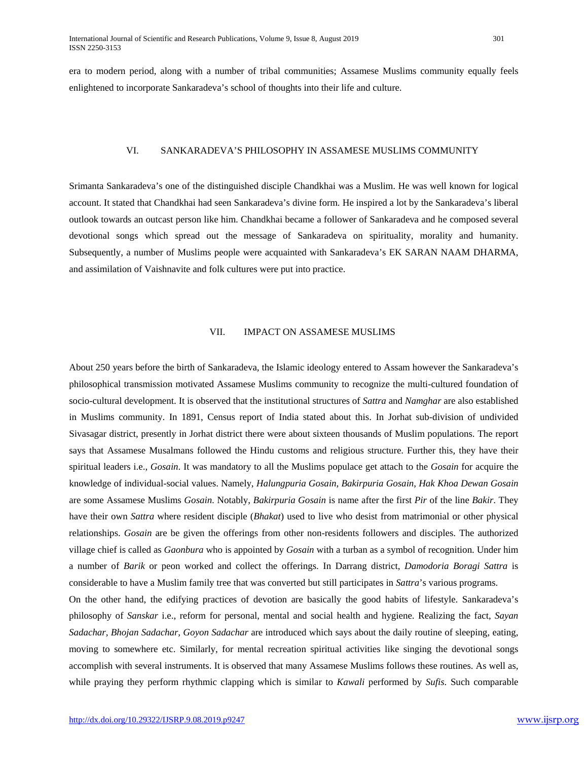era to modern period, along with a number of tribal communities; Assamese Muslims community equally feels enlightened to incorporate Sankaradeva's school of thoughts into their life and culture.

#### VI. SANKARADEVA'S PHILOSOPHY IN ASSAMESE MUSLIMS COMMUNITY

Srimanta Sankaradeva's one of the distinguished disciple Chandkhai was a Muslim. He was well known for logical account. It stated that Chandkhai had seen Sankaradeva's divine form. He inspired a lot by the Sankaradeva's liberal outlook towards an outcast person like him. Chandkhai became a follower of Sankaradeva and he composed several devotional songs which spread out the message of Sankaradeva on spirituality, morality and humanity. Subsequently, a number of Muslims people were acquainted with Sankaradeva's EK SARAN NAAM DHARMA, and assimilation of Vaishnavite and folk cultures were put into practice.

## VII. IMPACT ON ASSAMESE MUSLIMS

About 250 years before the birth of Sankaradeva, the Islamic ideology entered to Assam however the Sankaradeva's philosophical transmission motivated Assamese Muslims community to recognize the multi-cultured foundation of socio-cultural development. It is observed that the institutional structures of *Sattra* and *Namghar* are also established in Muslims community. In 1891, Census report of India stated about this. In Jorhat sub-division of undivided Sivasagar district, presently in Jorhat district there were about sixteen thousands of Muslim populations. The report says that Assamese Musalmans followed the Hindu customs and religious structure. Further this, they have their spiritual leaders i.e., *Gosain*. It was mandatory to all the Muslims populace get attach to the *Gosain* for acquire the knowledge of individual-social values. Namely, *Halungpuria Gosain*, *Bakirpuria Gosain*, *Hak Khoa Dewan Gosain* are some Assamese Muslims *Gosain*. Notably, *Bakirpuria Gosain* is name after the first *Pir* of the line *Bakir*. They have their own *Sattra* where resident disciple (*Bhakat*) used to live who desist from matrimonial or other physical relationships. *Gosain* are be given the offerings from other non-residents followers and disciples. The authorized village chief is called as *Gaonbura* who is appointed by *Gosain* with a turban as a symbol of recognition. Under him a number of *Barik* or peon worked and collect the offerings. In Darrang district, *Damodoria Boragi Sattra* is considerable to have a Muslim family tree that was converted but still participates in *Sattra*'s various programs.

On the other hand, the edifying practices of devotion are basically the good habits of lifestyle. Sankaradeva's philosophy of *Sanskar* i.e., reform for personal, mental and social health and hygiene. Realizing the fact, *Sayan Sadachar, Bhojan Sadachar, Goyon Sadachar* are introduced which says about the daily routine of sleeping, eating, moving to somewhere etc. Similarly, for mental recreation spiritual activities like singing the devotional songs accomplish with several instruments. It is observed that many Assamese Muslims follows these routines. As well as, while praying they perform rhythmic clapping which is similar to *Kawali* performed by *Sufis*. Such comparable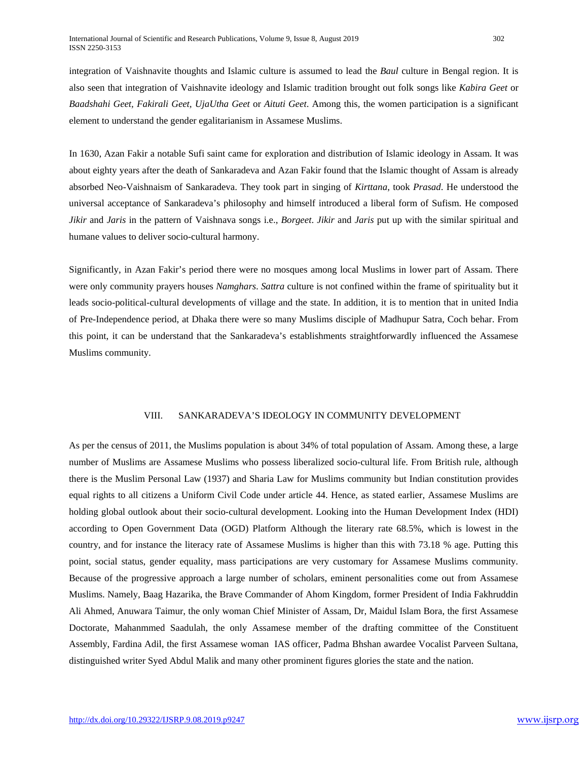integration of Vaishnavite thoughts and Islamic culture is assumed to lead the *Baul* culture in Bengal region. It is also seen that integration of Vaishnavite ideology and Islamic tradition brought out folk songs like *Kabira Geet* or *Baadshahi Geet, Fakirali Geet, UjaUtha Geet* or *Aituti Geet*. Among this, the women participation is a significant element to understand the gender egalitarianism in Assamese Muslims.

In 1630, Azan Fakir a notable Sufi saint came for exploration and distribution of Islamic ideology in Assam. It was about eighty years after the death of Sankaradeva and Azan Fakir found that the Islamic thought of Assam is already absorbed Neo-Vaishnaism of Sankaradeva. They took part in singing of *Kirttana*, took *Prasad*. He understood the universal acceptance of Sankaradeva's philosophy and himself introduced a liberal form of Sufism. He composed *Jikir* and *Jaris* in the pattern of Vaishnava songs i.e., *Borgeet*. *Jikir* and *Jaris* put up with the similar spiritual and humane values to deliver socio-cultural harmony.

Significantly, in Azan Fakir's period there were no mosques among local Muslims in lower part of Assam. There were only community prayers houses *Namghars*. *Sattra* culture is not confined within the frame of spirituality but it leads socio-political-cultural developments of village and the state. In addition, it is to mention that in united India of Pre-Independence period, at Dhaka there were so many Muslims disciple of Madhupur Satra, Coch behar. From this point, it can be understand that the Sankaradeva's establishments straightforwardly influenced the Assamese Muslims community.

### VIII. SANKARADEVA'S IDEOLOGY IN COMMUNITY DEVELOPMENT

As per the census of 2011, the Muslims population is about 34% of total population of Assam. Among these, a large number of Muslims are Assamese Muslims who possess liberalized socio-cultural life. From British rule, although there is the Muslim Personal Law (1937) and Sharia Law for Muslims community but Indian constitution provides equal rights to all citizens a Uniform Civil Code under article 44. Hence, as stated earlier, Assamese Muslims are holding global outlook about their socio-cultural development. Looking into the Human Development Index (HDI) according to Open Government Data (OGD) Platform Although the literary rate 68.5%, which is lowest in the country, and for instance the literacy rate of Assamese Muslims is higher than this with 73.18 % age. Putting this point, social status, gender equality, mass participations are very customary for Assamese Muslims community. Because of the progressive approach a large number of scholars, eminent personalities come out from Assamese Muslims. Namely, Baag Hazarika, the Brave Commander of Ahom Kingdom, former President of India Fakhruddin Ali Ahmed, Anuwara Taimur, the only woman Chief Minister of Assam, Dr, Maidul Islam Bora, the first Assamese Doctorate, Mahanmmed Saadulah, the only Assamese member of the drafting committee of the Constituent Assembly, Fardina Adil, the first Assamese woman IAS officer, Padma Bhshan awardee Vocalist Parveen Sultana, distinguished writer Syed Abdul Malik and many other prominent figures glories the state and the nation.